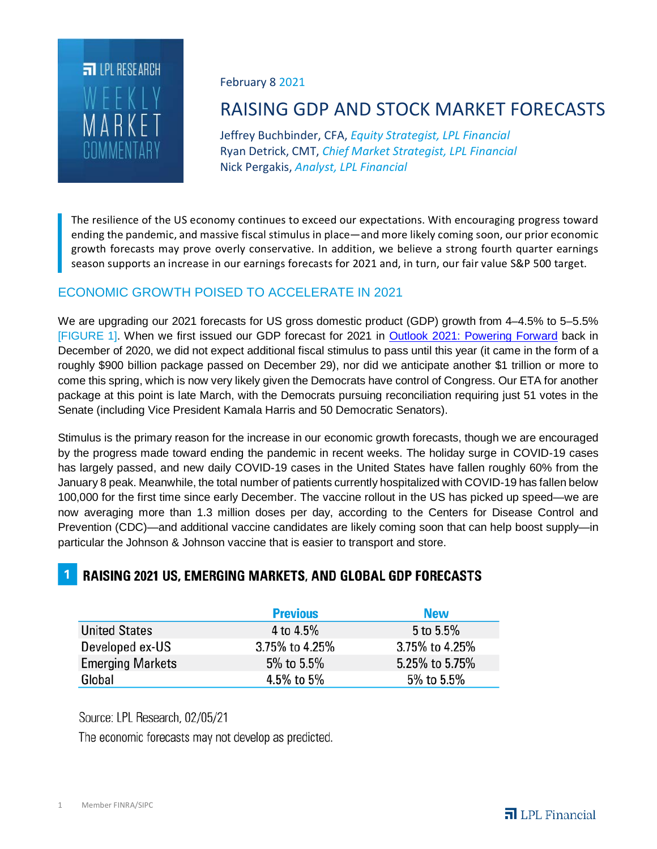

#### February 8 2021

# RAISING GDP AND STOCK MARKET FORECASTS

Jeffrey Buchbinder, CFA, *Equity Strategist, LPL Financial* Ryan Detrick, CMT, *Chief Market Strategist, LPL Financial* Nick Pergakis, *Analyst, LPL Financial*

The resilience of the US economy continues to exceed our expectations. With encouraging progress toward ending the pandemic, and massive fiscal stimulus in place—and more likely coming soon, our prior economic growth forecasts may prove overly conservative. In addition, we believe a strong fourth quarter earnings season supports an increase in our earnings forecasts for 2021 and, in turn, our fair value S&P 500 target.

### ECONOMIC GROWTH POISED TO ACCELERATE IN 2021

We are upgrading our 2021 forecasts for US gross domestic product (GDP) growth from 4–4.5% to 5–5.5% [FIGURE 1]. When we first issued our GDP forecast for 2021 in [Outlook 2021: Powering Forward](http://view.ceros.com/lpl/outlook-2021) back in December of 2020, we did not expect additional fiscal stimulus to pass until this year (it came in the form of a roughly \$900 billion package passed on December 29), nor did we anticipate another \$1 trillion or more to come this spring, which is now very likely given the Democrats have control of Congress. Our ETA for another package at this point is late March, with the Democrats pursuing reconciliation requiring just 51 votes in the Senate (including Vice President Kamala Harris and 50 Democratic Senators).

Stimulus is the primary reason for the increase in our economic growth forecasts, though we are encouraged by the progress made toward ending the pandemic in recent weeks. The holiday surge in COVID-19 cases has largely passed, and new daily COVID-19 cases in the United States have fallen roughly 60% from the January 8 peak. Meanwhile, the total number of patients currently hospitalized with COVID-19 has fallen below 100,000 for the first time since early December. The vaccine rollout in the US has picked up speed—we are now averaging more than 1.3 million doses per day, according to the Centers for Disease Control and Prevention (CDC)—and additional vaccine candidates are likely coming soon that can help boost supply—in particular the Johnson & Johnson vaccine that is easier to transport and store.

## **RAISING 2021 US, EMERGING MARKETS, AND GLOBAL GDP FORECASTS**

|                         | <b>Previous</b> | <b>New</b>     |
|-------------------------|-----------------|----------------|
| <b>United States</b>    | 4 to 4.5%       | 5 to 5.5%      |
| Developed ex-US         | 3.75% to 4.25%  | 3.75% to 4.25% |
| <b>Emerging Markets</b> | 5% to 5.5%      | 5.25% to 5.75% |
| Global                  | 4.5% to 5%      | 5% to 5.5%     |

Source: LPL Research, 02/05/21

The economic forecasts may not develop as predicted.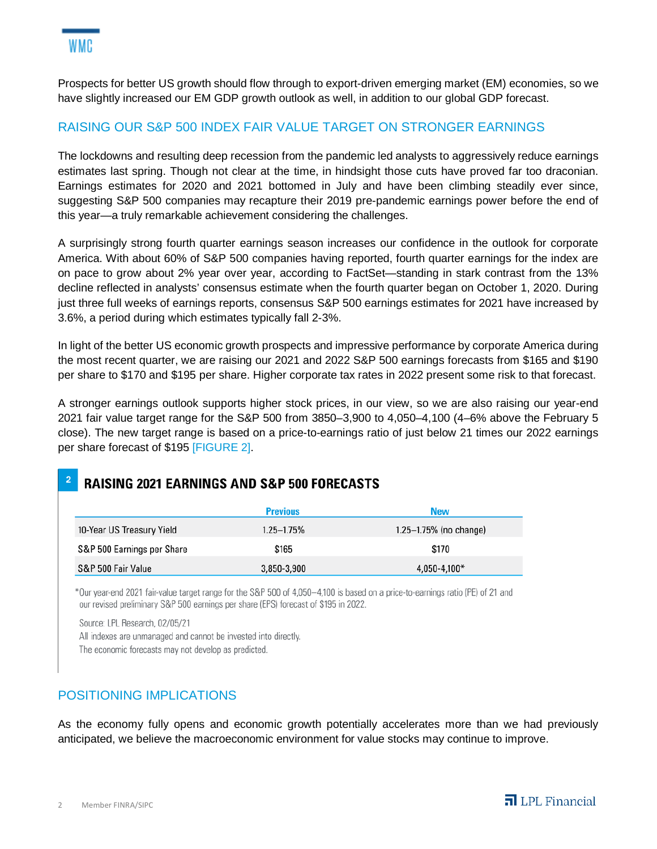Prospects for better US growth should flow through to export-driven emerging market (EM) economies, so we have slightly increased our EM GDP growth outlook as well, in addition to our global GDP forecast.

#### RAISING OUR S&P 500 INDEX FAIR VALUE TARGET ON STRONGER EARNINGS

The lockdowns and resulting deep recession from the pandemic led analysts to aggressively reduce earnings estimates last spring. Though not clear at the time, in hindsight those cuts have proved far too draconian. Earnings estimates for 2020 and 2021 bottomed in July and have been climbing steadily ever since, suggesting S&P 500 companies may recapture their 2019 pre-pandemic earnings power before the end of this year—a truly remarkable achievement considering the challenges.

A surprisingly strong fourth quarter earnings season increases our confidence in the outlook for corporate America. With about 60% of S&P 500 companies having reported, fourth quarter earnings for the index are on pace to grow about 2% year over year, according to FactSet—standing in stark contrast from the 13% decline reflected in analysts' consensus estimate when the fourth quarter began on October 1, 2020. During just three full weeks of earnings reports, consensus S&P 500 earnings estimates for 2021 have increased by 3.6%, a period during which estimates typically fall 2-3%.

In light of the better US economic growth prospects and impressive performance by corporate America during the most recent quarter, we are raising our 2021 and 2022 S&P 500 earnings forecasts from \$165 and \$190 per share to \$170 and \$195 per share. Higher corporate tax rates in 2022 present some risk to that forecast.

A stronger earnings outlook supports higher stock prices, in our view, so we are also raising our year-end 2021 fair value target range for the S&P 500 from 3850–3,900 to 4,050–4,100 (4–6% above the February 5 close). The new target range is based on a price-to-earnings ratio of just below 21 times our 2022 earnings per share forecast of \$195 [FIGURE 2].

# **RAISING 2021 EARNINGS AND S&P 500 FORECASTS**

|                            | <b>Previous</b> | <b>New</b>                  |
|----------------------------|-----------------|-----------------------------|
| 10-Year US Treasury Yield  | $1.25 - 1.75%$  | $1.25 - 1.75\%$ (no change) |
| S&P 500 Earnings per Share | \$165           | \$170                       |
| S&P 500 Fair Value         | 3,850-3,900     | $4,050 - 4,100*$            |

\*Our year-end 2021 fair-value target range for the S&P 500 of 4.050-4.100 is based on a price-to-earnings ratio (PE) of 21 and our revised preliminary S&P 500 earnings per share (EPS) forecast of \$195 in 2022.

Source: LPL Research, 02/05/21 All indexes are unmanaged and cannot be invested into directly.

The economic forecasts may not develop as predicted.

#### POSITIONING IMPLICATIONS

As the economy fully opens and economic growth potentially accelerates more than we had previously anticipated, we believe the macroeconomic environment for value stocks may continue to improve.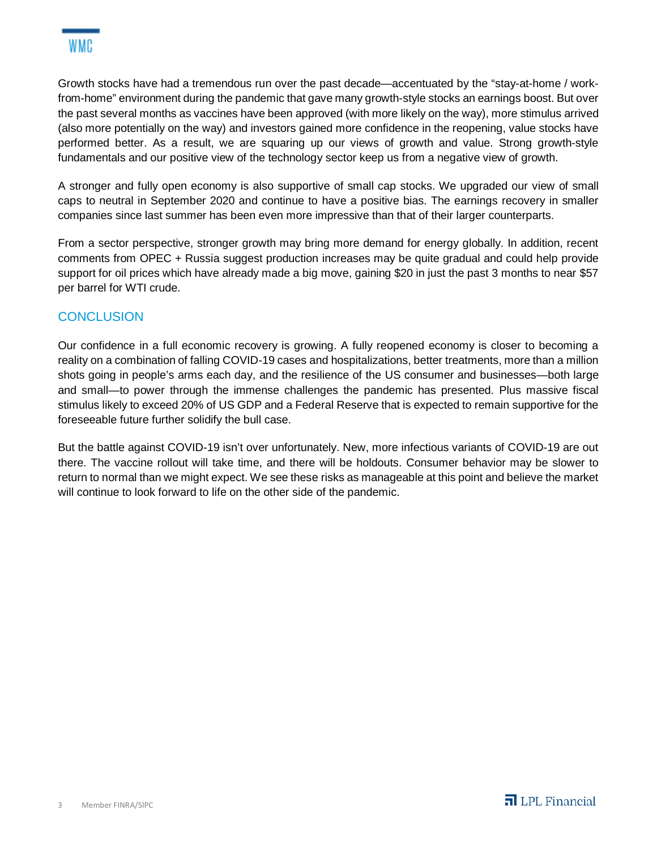Growth stocks have had a tremendous run over the past decade—accentuated by the "stay-at-home / workfrom-home" environment during the pandemic that gave many growth-style stocks an earnings boost. But over the past several months as vaccines have been approved (with more likely on the way), more stimulus arrived (also more potentially on the way) and investors gained more confidence in the reopening, value stocks have performed better. As a result, we are squaring up our views of growth and value. Strong growth-style fundamentals and our positive view of the technology sector keep us from a negative view of growth.

A stronger and fully open economy is also supportive of small cap stocks. We upgraded our view of small caps to neutral in September 2020 and continue to have a positive bias. The earnings recovery in smaller companies since last summer has been even more impressive than that of their larger counterparts.

From a sector perspective, stronger growth may bring more demand for energy globally. In addition, recent comments from OPEC + Russia suggest production increases may be quite gradual and could help provide support for oil prices which have already made a big move, gaining \$20 in just the past 3 months to near \$57 per barrel for WTI crude.

#### **CONCLUSION**

Our confidence in a full economic recovery is growing. A fully reopened economy is closer to becoming a reality on a combination of falling COVID-19 cases and hospitalizations, better treatments, more than a million shots going in people's arms each day, and the resilience of the US consumer and businesses—both large and small—to power through the immense challenges the pandemic has presented. Plus massive fiscal stimulus likely to exceed 20% of US GDP and a Federal Reserve that is expected to remain supportive for the foreseeable future further solidify the bull case.

But the battle against COVID-19 isn't over unfortunately. New, more infectious variants of COVID-19 are out there. The vaccine rollout will take time, and there will be holdouts. Consumer behavior may be slower to return to normal than we might expect. We see these risks as manageable at this point and believe the market will continue to look forward to life on the other side of the pandemic.